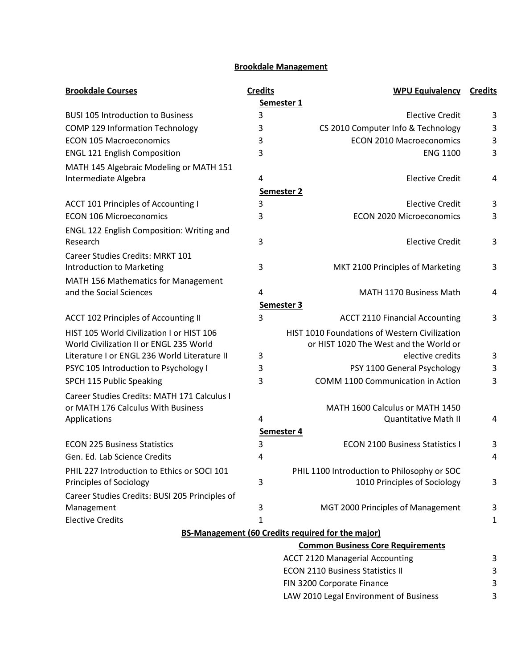## **Brookdale Management**

| <b>Brookdale Courses</b>                         | <b>Credits</b>    | <b>WPU Equivalency</b>                                   | <b>Credits</b> |  |
|--------------------------------------------------|-------------------|----------------------------------------------------------|----------------|--|
| Semester <sub>1</sub>                            |                   |                                                          |                |  |
| <b>BUSI 105 Introduction to Business</b>         | 3                 | <b>Elective Credit</b>                                   | 3              |  |
| COMP 129 Information Technology                  | 3                 | CS 2010 Computer Info & Technology                       | 3              |  |
| <b>ECON 105 Macroeconomics</b>                   | 3                 | <b>ECON 2010 Macroeconomics</b>                          | 3              |  |
| <b>ENGL 121 English Composition</b>              | 3                 | <b>ENG 1100</b>                                          | 3              |  |
| MATH 145 Algebraic Modeling or MATH 151          |                   |                                                          |                |  |
| Intermediate Algebra                             | 4                 | <b>Elective Credit</b>                                   | 4              |  |
|                                                  | <b>Semester 2</b> |                                                          |                |  |
| ACCT 101 Principles of Accounting I              | 3                 | <b>Elective Credit</b>                                   | 3              |  |
| <b>ECON 106 Microeconomics</b>                   | 3                 | <b>ECON 2020 Microeconomics</b>                          | 3              |  |
| <b>ENGL 122 English Composition: Writing and</b> |                   |                                                          |                |  |
| Research                                         | 3                 | <b>Elective Credit</b>                                   | 3              |  |
| <b>Career Studies Credits: MRKT 101</b>          |                   |                                                          |                |  |
| Introduction to Marketing                        | 3                 | MKT 2100 Principles of Marketing                         | 3              |  |
| MATH 156 Mathematics for Management              |                   |                                                          |                |  |
| and the Social Sciences                          | 4                 | MATH 1170 Business Math                                  | 4              |  |
|                                                  | Semester 3        |                                                          |                |  |
| <b>ACCT 102 Principles of Accounting II</b>      | 3                 | <b>ACCT 2110 Financial Accounting</b>                    | 3              |  |
| HIST 105 World Civilization I or HIST 106        |                   | HIST 1010 Foundations of Western Civilization            |                |  |
| World Civilization II or ENGL 235 World          |                   | or HIST 1020 The West and the World or                   |                |  |
| Literature I or ENGL 236 World Literature II     | 3                 | elective credits                                         | 3              |  |
| PSYC 105 Introduction to Psychology I            | 3                 | PSY 1100 General Psychology                              | 3              |  |
| SPCH 115 Public Speaking                         | 3                 | COMM 1100 Communication in Action                        | 3              |  |
| Career Studies Credits: MATH 171 Calculus I      |                   |                                                          |                |  |
| or MATH 176 Calculus With Business               |                   | MATH 1600 Calculus or MATH 1450                          |                |  |
| Applications                                     | 4                 | <b>Quantitative Math II</b>                              | 4              |  |
|                                                  | Semester 4        |                                                          |                |  |
| <b>ECON 225 Business Statistics</b>              | 3                 | <b>ECON 2100 Business Statistics I</b>                   | 3              |  |
| Gen. Ed. Lab Science Credits                     | 4                 |                                                          | 4              |  |
| PHIL 227 Introduction to Ethics or SOCI 101      |                   | PHIL 1100 Introduction to Philosophy or SOC              |                |  |
| Principles of Sociology                          | 3                 | 1010 Principles of Sociology                             | 3              |  |
| Career Studies Credits: BUSI 205 Principles of   |                   |                                                          |                |  |
| Management                                       | 3                 | MGT 2000 Principles of Management                        | 3              |  |
| <b>Elective Credits</b>                          | 1                 |                                                          | 1              |  |
|                                                  |                   | <b>BS-Management (60 Credits required for the major)</b> |                |  |
|                                                  |                   | <b>Common Business Core Requirements</b>                 |                |  |
|                                                  |                   | <b>ACCT 2120 Managerial Accounting</b>                   | 3              |  |
|                                                  |                   | <b>ECON 2110 Business Statistics II</b>                  | 3              |  |
|                                                  |                   | FIN 3200 Corporate Finance                               | 3              |  |
|                                                  |                   | LAW 2010 Legal Environment of Business                   | 3              |  |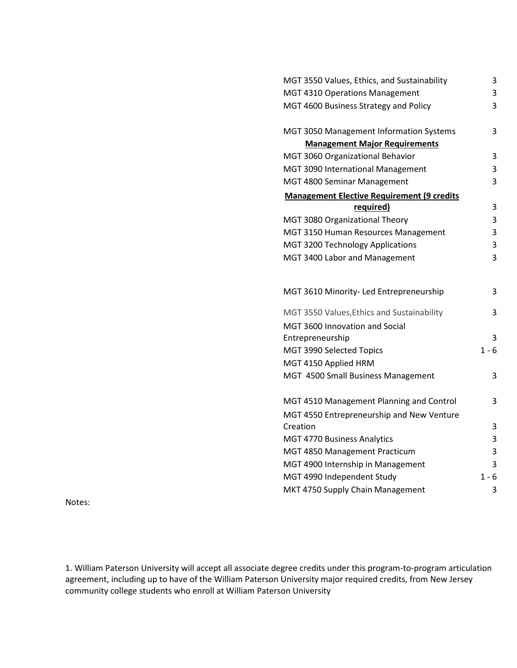| MGT 3550 Values, Ethics, and Sustainability       | 3       |
|---------------------------------------------------|---------|
| MGT 4310 Operations Management                    | 3       |
| MGT 4600 Business Strategy and Policy             | 3       |
| MGT 3050 Management Information Systems           | 3       |
| <b>Management Major Requirements</b>              |         |
| MGT 3060 Organizational Behavior                  | 3       |
| MGT 3090 International Management                 | 3       |
| MGT 4800 Seminar Management                       | 3       |
| <b>Management Elective Requirement (9 credits</b> |         |
| required)                                         | 3       |
| MGT 3080 Organizational Theory                    | 3       |
| MGT 3150 Human Resources Management               | 3       |
| MGT 3200 Technology Applications                  | 3       |
| MGT 3400 Labor and Management                     | 3       |
|                                                   |         |
| MGT 3610 Minority- Led Entrepreneurship           | 3       |
| MGT 3550 Values, Ethics and Sustainability        | 3       |
| MGT 3600 Innovation and Social                    |         |
| Entrepreneurship                                  | 3       |
| MGT 3990 Selected Topics                          | $1 - 6$ |
| MGT 4150 Applied HRM                              |         |
| MGT 4500 Small Business Management                | 3       |
| MGT 4510 Management Planning and Control          | 3       |
| MGT 4550 Entrepreneurship and New Venture         |         |
| Creation                                          | 3       |
| MGT 4770 Business Analytics                       | 3       |
| MGT 4850 Management Practicum                     | 3       |
| MGT 4900 Internship in Management                 | 3       |
| MGT 4990 Independent Study                        | $1 - 6$ |
| MKT 4750 Supply Chain Management                  | 3       |
|                                                   |         |

Notes:

1. William Paterson University will accept all associate degree credits under this program-to-program articulation agreement, including up to have of the William Paterson University major required credits, from New Jersey community college students who enroll at William Paterson University